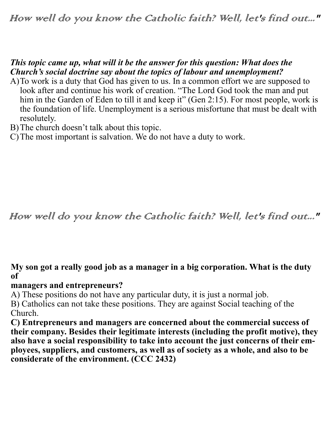## How well do you know the Catholic faith? Well, let's find out..."

### *This topic came up, what will it be the answer for this question: What does the Church's social doctrine say about the topics of labour and unemployment?*

- A)To work is a duty that God has given to us. In a common effort we are supposed to look after and continue his work of creation. "The Lord God took the man and put him in the Garden of Eden to till it and keep it" (Gen 2:15). For most people, work is the foundation of life. Unemployment is a serious misfortune that must be dealt with resolutely.
- B)The church doesn't talk about this topic.
- C)The most important is salvation. We do not have a duty to work.

How well do you know the Catholic faith? Well, let's find out..."

#### **My son got a really good job as a manager in a big corporation. What is the duty of**

#### **managers and entrepreneurs?**

A) These positions do not have any particular duty, it is just a normal job.

B) Catholics can not take these positions. They are against Social teaching of the Church.

**C) Entrepreneurs and managers are concerned about the commercial success of their company. Besides their legitimate interests (including the profit motive), they also have a social responsibility to take into account the just concerns of their employees, suppliers, and customers, as well as of society as a whole, and also to be considerate of the environment. (CCC 2432)**